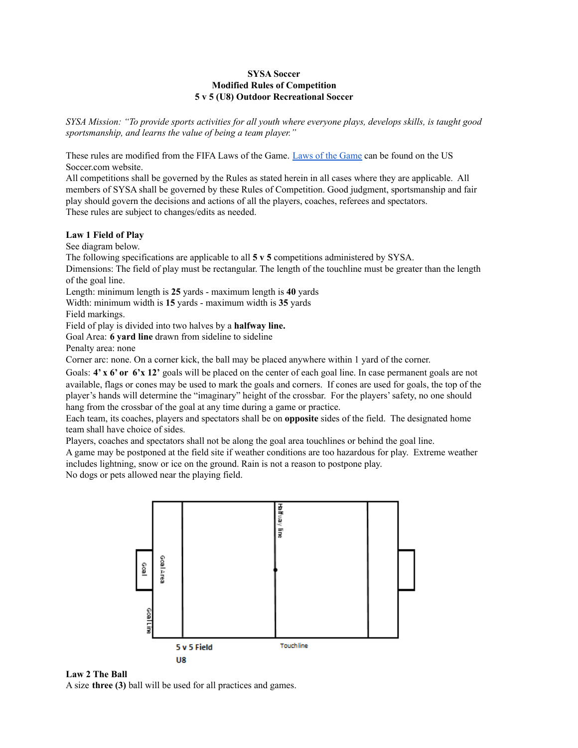# **SYSA Soccer Modified Rules of Competition 5 v 5 (U8) Outdoor Recreational Soccer**

SYSA Mission: "To provide sports activities for all youth where everyone plays, develops skills, is taught good *sportsmanship, and learns the value of being a team player."*

These rules are modified from the FIFA Laws of the Game. Laws of the [Game](https://ussoccer.app.box.com/s/xx3byxqgodqtl1h15865) can be found on the US Soccer.com website.

All competitions shall be governed by the Rules as stated herein in all cases where they are applicable. All members of SYSA shall be governed by these Rules of Competition. Good judgment, sportsmanship and fair play should govern the decisions and actions of all the players, coaches, referees and spectators. These rules are subject to changes/edits as needed.

# **Law 1 Field of Play**

See diagram below.

The following specifications are applicable to all **5 v 5** competitions administered by SYSA.

Dimensions: The field of play must be rectangular. The length of the touchline must be greater than the length of the goal line.

Length: minimum length is **25** yards - maximum length is **40** yards

Width: minimum width is **15** yards - maximum width is **35** yards

Field markings.

Field of play is divided into two halves by a **halfway line.**

Goal Area: **6 yard line** drawn from sideline to sideline

Penalty area: none

Corner arc: none. On a corner kick, the ball may be placed anywhere within 1 yard of the corner.

Goals: **4' x 6' or 6'x 12'** goals will be placed on the center of each goal line. In case permanent goals are not available, flags or cones may be used to mark the goals and corners. If cones are used for goals, the top of the player's hands will determine the "imaginary" height of the crossbar. For the players'safety, no one should hang from the crossbar of the goal at any time during a game or practice.

Each team, its coaches, players and spectators shall be on **opposite** sides of the field. The designated home team shall have choice of sides.

Players, coaches and spectators shall not be along the goal area touchlines or behind the goal line.

A game may be postponed at the field site if weather conditions are too hazardous for play. Extreme weather includes lightning, snow or ice on the ground. Rain is not a reason to postpone play.

No dogs or pets allowed near the playing field.





A size **three (3)** ball will be used for all practices and games.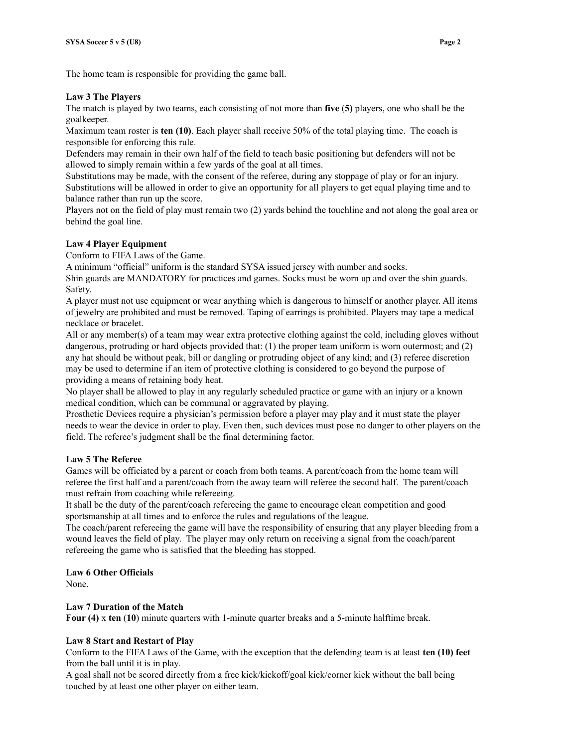The home team is responsible for providing the game ball.

## **Law 3 The Players**

The match is played by two teams, each consisting of not more than **five** (**5)** players, one who shall be the goalkeeper.

Maximum team roster is **ten (10)**. Each player shall receive 50% of the total playing time. The coach is responsible for enforcing this rule.

Defenders may remain in their own half of the field to teach basic positioning but defenders will not be allowed to simply remain within a few yards of the goal at all times.

Substitutions may be made, with the consent of the referee, during any stoppage of play or for an injury. Substitutions will be allowed in order to give an opportunity for all players to get equal playing time and to balance rather than run up the score.

Players not on the field of play must remain two (2) yards behind the touchline and not along the goal area or behind the goal line.

# **Law 4 Player Equipment**

Conform to FIFA Laws of the Game.

A minimum "official" uniform is the standard SYSA issued jersey with number and socks.

Shin guards are MANDATORY for practices and games. Socks must be worn up and over the shin guards. Safety.

A player must not use equipment or wear anything which is dangerous to himself or another player. All items of jewelry are prohibited and must be removed. Taping of earrings is prohibited. Players may tape a medical necklace or bracelet.

All or any member(s) of a team may wear extra protective clothing against the cold, including gloves without dangerous, protruding or hard objects provided that: (1) the proper team uniform is worn outermost; and (2) any hat should be without peak, bill or dangling or protruding object of any kind; and (3) referee discretion may be used to determine if an item of protective clothing is considered to go beyond the purpose of providing a means of retaining body heat.

No player shall be allowed to play in any regularly scheduled practice or game with an injury or a known medical condition, which can be communal or aggravated by playing.

Prosthetic Devices require a physician's permission before a player may play and it must state the player needs to wear the device in order to play. Even then, such devices must pose no danger to other players on the field. The referee's judgment shall be the final determining factor.

# **Law 5 The Referee**

Games will be officiated by a parent or coach from both teams. A parent/coach from the home team will referee the first half and a parent/coach from the away team will referee the second half. The parent/coach must refrain from coaching while refereeing.

It shall be the duty of the parent/coach refereeing the game to encourage clean competition and good sportsmanship at all times and to enforce the rules and regulations of the league.

The coach/parent refereeing the game will have the responsibility of ensuring that any player bleeding from a wound leaves the field of play. The player may only return on receiving a signal from the coach/parent refereeing the game who is satisfied that the bleeding has stopped.

# **Law 6 Other Officials**

None.

# **Law 7 Duration of the Match**

**Four (4)** x **ten** (**10**) minute quarters with 1-minute quarter breaks and a 5-minute halftime break.

# **Law 8 Start and Restart of Play**

Conform to the FIFA Laws of the Game, with the exception that the defending team is at least **ten (10) feet** from the ball until it is in play.

A goal shall not be scored directly from a free kick/kickoff/goal kick/corner kick without the ball being touched by at least one other player on either team.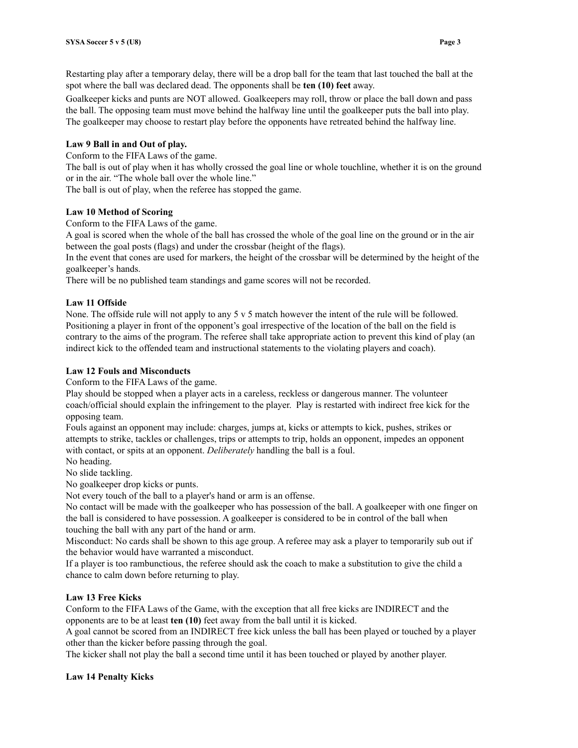Restarting play after a temporary delay, there will be a drop ball for the team that last touched the ball at the spot where the ball was declared dead. The opponents shall be **ten (10) feet** away.

Goalkeeper kicks and punts are NOT allowed. Goalkeepers may roll, throw or place the ball down and pass the ball. The opposing team must move behind the halfway line until the goalkeeper puts the ball into play. The goalkeeper may choose to restart play before the opponents have retreated behind the halfway line.

### **Law 9 Ball in and Out of play.**

Conform to the FIFA Laws of the game.

The ball is out of play when it has wholly crossed the goal line or whole touchline, whether it is on the ground or in the air. "The whole ball over the whole line."

The ball is out of play, when the referee has stopped the game.

## **Law 10 Method of Scoring**

Conform to the FIFA Laws of the game.

A goal is scored when the whole of the ball has crossed the whole of the goal line on the ground or in the air between the goal posts (flags) and under the crossbar (height of the flags).

In the event that cones are used for markers, the height of the crossbar will be determined by the height of the goalkeeper's hands.

There will be no published team standings and game scores will not be recorded.

### **Law 11 Offside**

None. The offside rule will not apply to any 5 v 5 match however the intent of the rule will be followed. Positioning a player in front of the opponent's goal irrespective of the location of the ball on the field is contrary to the aims of the program. The referee shall take appropriate action to prevent this kind of play (an indirect kick to the offended team and instructional statements to the violating players and coach).

#### **Law 12 Fouls and Misconducts**

Conform to the FIFA Laws of the game.

Play should be stopped when a player acts in a careless, reckless or dangerous manner. The volunteer coach/official should explain the infringement to the player. Play is restarted with indirect free kick for the opposing team.

Fouls against an opponent may include: charges, jumps at, kicks or attempts to kick, pushes, strikes or attempts to strike, tackles or challenges, trips or attempts to trip, holds an opponent, impedes an opponent with contact, or spits at an opponent. *Deliberately* handling the ball is a foul.

No heading.

No slide tackling.

No goalkeeper drop kicks or punts.

Not every touch of the ball to a player's hand or arm is an offense.

No contact will be made with the goalkeeper who has possession of the ball. A goalkeeper with one finger on the ball is considered to have possession. A goalkeeper is considered to be in control of the ball when touching the ball with any part of the hand or arm.

Misconduct: No cards shall be shown to this age group. A referee may ask a player to temporarily sub out if the behavior would have warranted a misconduct.

If a player is too rambunctious, the referee should ask the coach to make a substitution to give the child a chance to calm down before returning to play.

#### **Law 13 Free Kicks**

Conform to the FIFA Laws of the Game, with the exception that all free kicks are INDIRECT and the opponents are to be at least **ten (10)** feet away from the ball until it is kicked.

A goal cannot be scored from an INDIRECT free kick unless the ball has been played or touched by a player other than the kicker before passing through the goal.

The kicker shall not play the ball a second time until it has been touched or played by another player.

#### **Law 14 Penalty Kicks**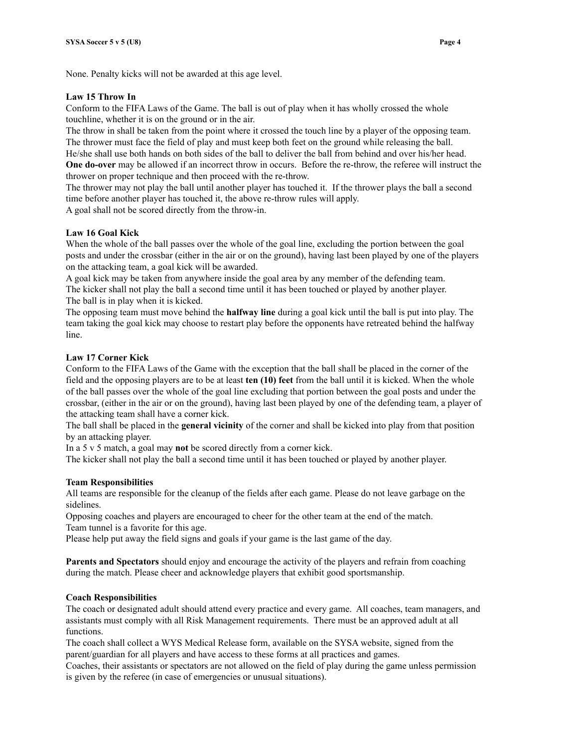None. Penalty kicks will not be awarded at this age level.

## **Law 15 Throw In**

Conform to the FIFA Laws of the Game. The ball is out of play when it has wholly crossed the whole touchline, whether it is on the ground or in the air.

The throw in shall be taken from the point where it crossed the touch line by a player of the opposing team. The thrower must face the field of play and must keep both feet on the ground while releasing the ball. He/she shall use both hands on both sides of the ball to deliver the ball from behind and over his/her head. **One do-over** may be allowed if an incorrect throw in occurs. Before the re-throw, the referee will instruct the thrower on proper technique and then proceed with the re-throw.

The thrower may not play the ball until another player has touched it. If the thrower plays the ball a second time before another player has touched it, the above re-throw rules will apply.

A goal shall not be scored directly from the throw-in.

# **Law 16 Goal Kick**

When the whole of the ball passes over the whole of the goal line, excluding the portion between the goal posts and under the crossbar (either in the air or on the ground), having last been played by one of the players on the attacking team, a goal kick will be awarded.

A goal kick may be taken from anywhere inside the goal area by any member of the defending team. The kicker shall not play the ball a second time until it has been touched or played by another player. The ball is in play when it is kicked.

The opposing team must move behind the **halfway line** during a goal kick until the ball is put into play. The team taking the goal kick may choose to restart play before the opponents have retreated behind the halfway line.

### **Law 17 Corner Kick**

Conform to the FIFA Laws of the Game with the exception that the ball shall be placed in the corner of the field and the opposing players are to be at least **ten (10) feet** from the ball until it is kicked. When the whole of the ball passes over the whole of the goal line excluding that portion between the goal posts and under the crossbar, (either in the air or on the ground), having last been played by one of the defending team, a player of the attacking team shall have a corner kick.

The ball shall be placed in the **general vicinity** of the corner and shall be kicked into play from that position by an attacking player.

In a 5 v 5 match, a goal may **not** be scored directly from a corner kick.

The kicker shall not play the ball a second time until it has been touched or played by another player.

### **Team Responsibilities**

All teams are responsible for the cleanup of the fields after each game. Please do not leave garbage on the sidelines.

Opposing coaches and players are encouraged to cheer for the other team at the end of the match. Team tunnel is a favorite for this age.

Please help put away the field signs and goals if your game is the last game of the day.

**Parents and Spectators** should enjoy and encourage the activity of the players and refrain from coaching during the match. Please cheer and acknowledge players that exhibit good sportsmanship.

# **Coach Responsibilities**

The coach or designated adult should attend every practice and every game. All coaches, team managers, and assistants must comply with all Risk Management requirements. There must be an approved adult at all functions.

The coach shall collect a WYS Medical Release form, available on the SYSA website, signed from the parent/guardian for all players and have access to these forms at all practices and games.

Coaches, their assistants or spectators are not allowed on the field of play during the game unless permission is given by the referee (in case of emergencies or unusual situations).